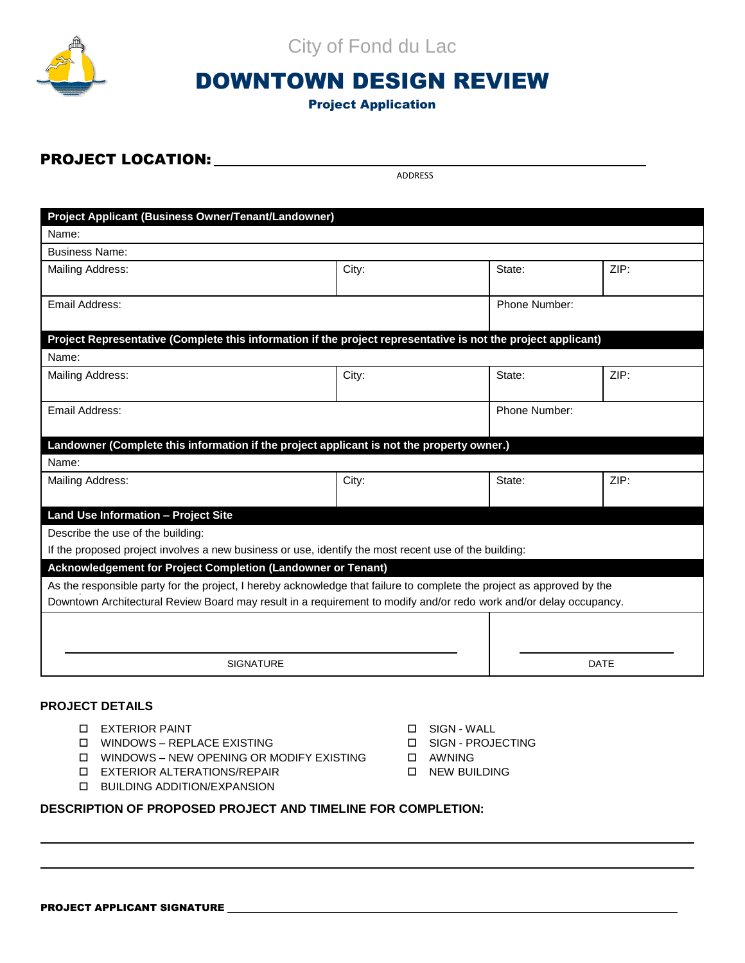

City of Fond du Lac

# DOWNTOWN DESIGN REVIEW

# Project Application

# PROJECT LOCATION:

ADDRESS

| Project Applicant (Business Owner/Tenant/Landowner)                                                                    |       |               |               |  |
|------------------------------------------------------------------------------------------------------------------------|-------|---------------|---------------|--|
| Name:                                                                                                                  |       |               |               |  |
| <b>Business Name:</b>                                                                                                  |       |               |               |  |
| Mailing Address:                                                                                                       | City: | State:        | ZIP:          |  |
| Email Address:                                                                                                         |       |               | Phone Number: |  |
| Project Representative (Complete this information if the project representative is not the project applicant)          |       |               |               |  |
| Name:                                                                                                                  |       |               |               |  |
| Mailing Address:                                                                                                       | City: | State:        | ZIP:          |  |
| Email Address:                                                                                                         |       | Phone Number: |               |  |
| Landowner (Complete this information if the project applicant is not the property owner.)                              |       |               |               |  |
| Name:                                                                                                                  |       |               |               |  |
| Mailing Address:                                                                                                       | City: | State:        | ZIP:          |  |
| <b>Land Use Information - Project Site</b>                                                                             |       |               |               |  |
| Describe the use of the building:                                                                                      |       |               |               |  |
| If the proposed project involves a new business or use, identify the most recent use of the building:                  |       |               |               |  |
| Acknowledgement for Project Completion (Landowner or Tenant)                                                           |       |               |               |  |
| As the responsible party for the project, I hereby acknowledge that failure to complete the project as approved by the |       |               |               |  |
| Downtown Architectural Review Board may result in a requirement to modify and/or redo work and/or delay occupancy.     |       |               |               |  |
|                                                                                                                        |       |               |               |  |
|                                                                                                                        |       |               |               |  |
| <b>SIGNATURE</b>                                                                                                       |       | <b>DATE</b>   |               |  |

### **PROJECT DETAILS**

- □ EXTERIOR PAINT SIGN WALL
- WINDOWS REPLACE EXISTING SIGN PROJECTING
- $\Box$  WINDOWS NEW OPENING OR MODIFY EXISTING  $\Box$  AWNING
- EXTERIOR ALTERATIONS/REPAIR NEW BUILDING
- **D** BUILDING ADDITION/EXPANSION
- 
- 
- 
- 

## **DESCRIPTION OF PROPOSED PROJECT AND TIMELINE FOR COMPLETION:**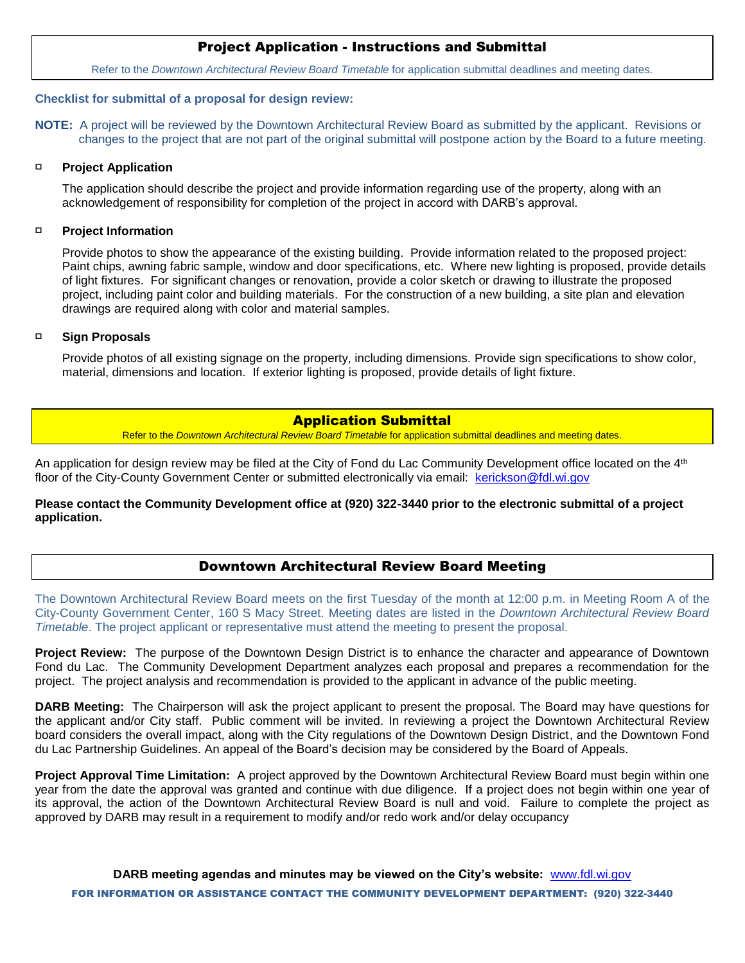# Project Application - Instructions and Submittal

Refer to the *Downtown Architectural Review Board Timetable* for application submittal deadlines and meeting dates.

### **Checklist for submittal of a proposal for design review:**

**NOTE:** A project will be reviewed by the Downtown Architectural Review Board as submitted by the applicant. Revisions or changes to the project that are not part of the original submittal will postpone action by the Board to a future meeting.

#### $\Box$ **Project Application**

The application should describe the project and provide information regarding use of the property, along with an acknowledgement of responsibility for completion of the project in accord with DARB's approval.

#### $\Box$ **Project Information**

Provide photos to show the appearance of the existing building. Provide information related to the proposed project: Paint chips, awning fabric sample, window and door specifications, etc. Where new lighting is proposed, provide details of light fixtures. For significant changes or renovation, provide a color sketch or drawing to illustrate the proposed project, including paint color and building materials. For the construction of a new building, a site plan and elevation drawings are required along with color and material samples.

#### **Sign Proposals**  $\Box$

Provide photos of all existing signage on the property, including dimensions. Provide sign specifications to show color, material, dimensions and location. If exterior lighting is proposed, provide details of light fixture.

### Application Submittal

Refer to the *Downtown Architectural Review Board Timetable* for application submittal deadlines and meeting dates.

An application for design review may be filed at the City of Fond du Lac Community Development office located on the 4th floor of the City-County Government Center or submitted electronically via email: [kerickson@fdl.wi.gov](mailto:kerickson@fdl.wi.gov)

**Please contact the Community Development office at (920) 322-3440 prior to the electronic submittal of a project application.** 

## Downtown Architectural Review Board Meeting

The Downtown Architectural Review Board meets on the first Tuesday of the month at 12:00 p.m. in Meeting Room A of the City-County Government Center, 160 S Macy Street. Meeting dates are listed in the *Downtown Architectural Review Board Timetable*. The project applicant or representative must attend the meeting to present the proposal.

**Project Review:** The purpose of the Downtown Design District is to enhance the character and appearance of Downtown Fond du Lac. The Community Development Department analyzes each proposal and prepares a recommendation for the project. The project analysis and recommendation is provided to the applicant in advance of the public meeting.

**DARB Meeting:** The Chairperson will ask the project applicant to present the proposal. The Board may have questions for the applicant and/or City staff. Public comment will be invited. In reviewing a project the Downtown Architectural Review board considers the overall impact, along with the City regulations of the Downtown Design District, and the Downtown Fond du Lac Partnership Guidelines. An appeal of the Board's decision may be considered by the Board of Appeals.

**Project Approval Time Limitation:** A project approved by the Downtown Architectural Review Board must begin within one year from the date the approval was granted and continue with due diligence. If a project does not begin within one year of its approval, the action of the Downtown Architectural Review Board is null and void. Failure to complete the project as approved by DARB may result in a requirement to modify and/or redo work and/or delay occupancy